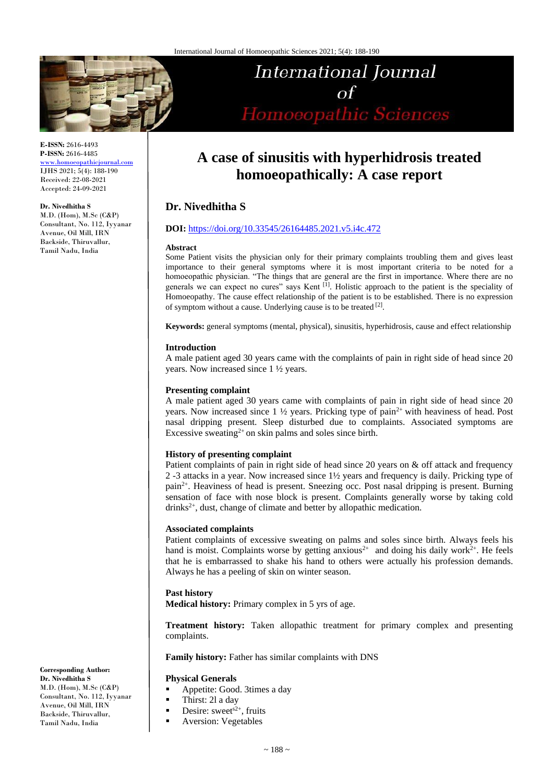

**E-ISSN:** 2616-4493 **P-ISSN:** 2616-4485

[www.homoeopathicjournal.com](file://///Server/test/homoeopathicjournal/issue/vol%204/issue%201/www.homoeopathicjournal.com) IJHS 2021; 5(4): 188-190 Received: 22-08-2021 Accepted: 24-09-2021

#### **Dr. Nivedhitha S**

M.D. (Hom), M.Sc (C&P) Consultant, No. 112, Iyyanar Avenue, Oil Mill, IRN Backside, Thiruvallur, Tamil Nadu, India

# International Journal Homoeopathic Sciences

# **A case of sinusitis with hyperhidrosis treated homoeopathically: A case report**

# **Dr. Nivedhitha S**

#### **DOI:** <https://doi.org/10.33545/26164485.2021.v5.i4c.472>

#### **Abstract**

Some Patient visits the physician only for their primary complaints troubling them and gives least importance to their general symptoms where it is most important criteria to be noted for a homoeopathic physician. "The things that are general are the first in importance. Where there are no generals we can expect no cures" says Kent<sup>[1]</sup>. Holistic approach to the patient is the speciality of Homoeopathy. The cause effect relationship of the patient is to be established. There is no expression of symptom without a cause. Underlying cause is to be treated [2].

**Keywords:** general symptoms (mental, physical), sinusitis, hyperhidrosis, cause and effect relationship

#### **Introduction**

A male patient aged 30 years came with the complaints of pain in right side of head since 20 years. Now increased since 1 ½ years.

#### **Presenting complaint**

A male patient aged 30 years came with complaints of pain in right side of head since 20 years. Now increased since  $1 \frac{1}{2}$  years. Pricking type of pain<sup>2+</sup> with heaviness of head. Post nasal dripping present. Sleep disturbed due to complaints. Associated symptoms are Excessive sweating<sup>2+</sup> on skin palms and soles since birth.

### **History of presenting complaint**

Patient complaints of pain in right side of head since 20 years on & off attack and frequency 2 -3 attacks in a year. Now increased since 1½ years and frequency is daily. Pricking type of pain2+. Heaviness of head is present. Sneezing occ. Post nasal dripping is present. Burning sensation of face with nose block is present. Complaints generally worse by taking cold  $drinks^{2+}$ , dust, change of climate and better by allopathic medication.

#### **Associated complaints**

Patient complaints of excessive sweating on palms and soles since birth. Always feels his hand is moist. Complaints worse by getting anxious<sup>2+</sup> and doing his daily work<sup>2+</sup>. He feels that he is embarrassed to shake his hand to others were actually his profession demands. Always he has a peeling of skin on winter season.

#### **Past history**

**Medical history:** Primary complex in 5 yrs of age.

**Treatment history:** Taken allopathic treatment for primary complex and presenting complaints.

**Family history:** Father has similar complaints with DNS

#### **Physical Generals**

- Appetite: Good. 3times a day
- Thirst: 2l a day
- **•** Desire: sweet<sup>s2+</sup>, fruits
- **Aversion: Vegetables**

**Corresponding Author: Dr. Nivedhitha S** M.D. (Hom), M.Sc (C&P) Consultant, No. 112, Iyyanar Avenue, Oil Mill, IRN Backside, Thiruvallur, Tamil Nadu, India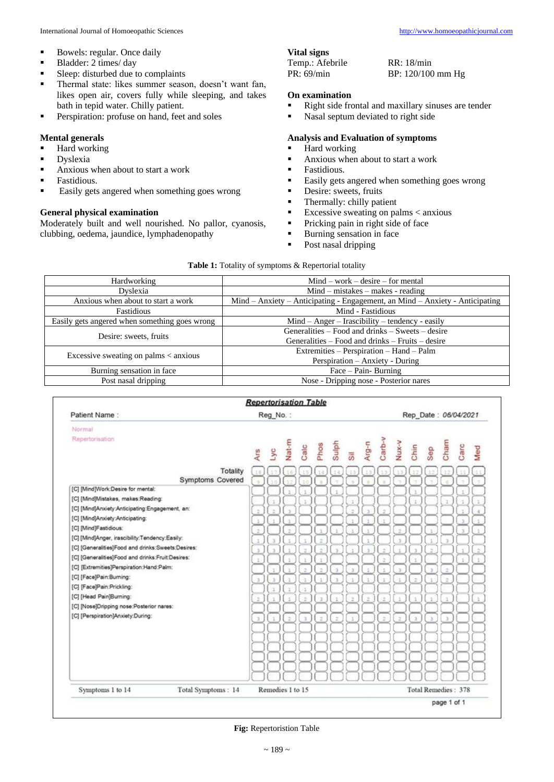- Bowels: regular. Once daily
- Bladder: 2 times/ day<br>■ Sleep: disturbed due t
- Sleep: disturbed due to complaints
- **·** Thermal state: likes summer season, doesn't want fan, likes open air, covers fully while sleeping, and takes bath in tepid water. Chilly patient.
- **•** Perspiration: profuse on hand, feet and soles

#### **Mental generals**

- Hard working
- Dyslexia
- Anxious when about to start a work
- **•** Fastidious.
- Easily gets angered when something goes wrong

#### **General physical examination**

Moderately built and well nourished. No pallor, cyanosis, clubbing, oedema, jaundice, lymphadenopathy

## **Vital signs**

| Temp.: Afebrile | RR: 18/min        |
|-----------------|-------------------|
| PR: 69/min      | BP: 120/100 mm Hg |

#### **On examination**

- Right side frontal and maxillary sinuses are tender<br>■ Nasal sentum deviated to right side
- Nasal septum deviated to right side

#### **Analysis and Evaluation of symptoms**

- Hard working
- Anxious when about to start a work
- **•** Fastidious.
- Easily gets angered when something goes wrong
- **•** Desire: sweets, fruits
- **•** Thermally: chilly patient
- $\blacksquare$  Excessive sweating on palms < anxious
- **•** Pricking pain in right side of face
- Burning sensation in face
- Post nasal dripping

| Table 1: Totality of symptoms & Repertorial totality |  |  |  |  |  |
|------------------------------------------------------|--|--|--|--|--|
|------------------------------------------------------|--|--|--|--|--|

| <b>Hardworking</b>                            | $Mind - work - desire - for mental$                                          |  |  |  |  |
|-----------------------------------------------|------------------------------------------------------------------------------|--|--|--|--|
| Dyslexia                                      | $Mind - mistakes - makes - reading$                                          |  |  |  |  |
| Anxious when about to start a work            | Mind - Anxiety - Anticipating - Engagement, an Mind - Anxiety - Anticipating |  |  |  |  |
| Fastidious                                    | Mind - Fastidious                                                            |  |  |  |  |
| Easily gets angered when something goes wrong | $Mind - Anger - Irascibility - tendency - easily$                            |  |  |  |  |
| Desire: sweets, fruits                        | Generalities – Food and drinks – Sweets – desire                             |  |  |  |  |
|                                               | Generalities – Food and drinks – Fruits – desire                             |  |  |  |  |
|                                               | Extremities - Perspiration - Hand - Palm                                     |  |  |  |  |
| Excessive sweating on palms $<$ anxious       | Perspiration - Anxiety - During                                              |  |  |  |  |
| Burning sensation in face                     | $Face - Pain - Burning$                                                      |  |  |  |  |
| Post nasal dripping                           | Nose - Dripping nose - Posterior nares                                       |  |  |  |  |

|                                                          | <b>Repertorisation Table</b> |                             |                          |        |        |       |               |               |        |              |                      |          |                     |                |                  |
|----------------------------------------------------------|------------------------------|-----------------------------|--------------------------|--------|--------|-------|---------------|---------------|--------|--------------|----------------------|----------|---------------------|----------------|------------------|
| Patient Name:                                            |                              | Reg No.:                    |                          |        |        |       |               |               |        |              | Rep Date: 06/04/2021 |          |                     |                |                  |
| Normal                                                   |                              |                             |                          |        |        |       |               |               |        |              |                      |          |                     |                |                  |
| Repertorisation                                          |                              |                             |                          |        |        |       |               |               |        |              |                      |          |                     |                |                  |
|                                                          | Ars                          | F Ac                        | Nat-m                    | Calc   | Phos   | Sulph | Sil           | Arg-n         | Carb-v | <b>V-XnN</b> | Chin                 | Sep      | Cham                | Carc           | Med              |
|                                                          |                              |                             |                          |        |        |       |               |               |        |              |                      |          |                     |                |                  |
| Totality                                                 | 1.8                          |                             | Ω.                       |        | 14     | 13    |               |               |        |              |                      |          |                     |                |                  |
| Symptoms Covered                                         | is.                          |                             | $\rightarrow$            | 6.24   | ×      | ×     | ÷             | ×             |        |              | ÷                    |          |                     | ×              |                  |
| [C] [Mind]Work:Desire for mental:                        |                              |                             |                          |        |        |       |               |               |        |              | 'n                   |          |                     | ï              |                  |
| [C] [Mind]Mistakes, makes:Reading:                       |                              | ï                           |                          | x      |        |       | ä             |               |        |              | T                    |          | ĭ                   | ı              | T.               |
| [C] [Mind]Anxiety:Anticipating:Engagement, an:           | ż                            | ä                           | $\Rightarrow$            |        |        |       | $\bar{z}$     | э             | ž      |              |                      |          |                     | ï              | a.               |
| [C] [Mind]Anxiety:Anticipating:<br>[C] [Mind]Fastidious: | ×                            | ×                           | ×.                       |        |        |       | $\mathcal{R}$ | ä             |        |              |                      |          |                     | is.            | ä.               |
| [C] [Mind]Anger, irascibility:Tendency:Easily:           | Ξ                            |                             | $\overline{\phantom{a}}$ |        |        |       |               | ×             |        | ۰            |                      |          |                     | $\overline{3}$ |                  |
| [C] [Generalities]Food and drinks:Sweets:Desires:        | ï                            | ٠                           | ĸ.                       |        | ž      |       |               | $\mathbf{1}$  |        | ٠            |                      |          |                     |                |                  |
| [C] [Generalities]Food and drinks:Fruit:Desires:         | $\mathcal{L}$                | $\mathcal{L}_{\mathcal{R}}$ |                          | $\sim$ | $\geq$ | ×.    |               | $\mathcal{L}$ | ×      |              | $\mathcal{L}$        | $\alpha$ |                     | ×              | $\alpha_{\rm c}$ |
| [C] [Extremities]Perspiration:Hand:Palm:                 | Ł                            |                             | ï                        |        | ĭ      |       |               |               | ž      |              | t                    |          |                     | $\mathbf{I}$   |                  |
| [C] [Face]Pain:Burning:                                  |                              |                             |                          | ż      | ä      | ä.    | $\mathbf x$   | ¥             |        |              |                      | x        | ž,                  |                |                  |
| [C] [Face]Pain:Prickling:                                | ×                            | 'n.                         | 'n.                      | y.     | ä      | ×     | 'n.           | ¥             | Ŧ.     | ъ            | ÷                    | Ŧ.       | ż                   |                |                  |
| [C] [Head Pain]Burning:                                  |                              | x                           | r                        | Ŧ      |        |       |               |               |        |              |                      |          |                     |                |                  |
| [C] [Nose]Dripping nose:Posterior nares:                 | z                            | 1                           | ÷                        | ż      | x      |       | ż             | ż             | ż      | t            | 1                    |          |                     |                |                  |
| [C] [Perspiration]Anxiety:During:                        |                              | $\sim$                      |                          |        |        |       |               |               |        |              |                      |          |                     |                |                  |
|                                                          | x                            |                             | $\overline{z}$           | ×      | ż      | z     |               |               | ž      | ÷            | $\mathbf x$          | x        | x                   |                |                  |
|                                                          |                              |                             |                          |        |        |       |               |               |        |              |                      |          |                     |                |                  |
|                                                          |                              |                             |                          |        |        |       |               |               |        |              |                      |          |                     |                |                  |
|                                                          |                              |                             |                          |        |        |       |               |               |        |              |                      |          |                     |                |                  |
|                                                          |                              |                             |                          |        |        |       |               |               |        |              |                      |          |                     |                |                  |
|                                                          |                              |                             |                          |        |        |       |               |               |        |              |                      |          |                     |                |                  |
| Total Symptoms: 14<br>Symptoms 1 to 14                   |                              | Remedies 1 to 15            |                          |        |        |       |               |               |        |              |                      |          | Total Remedies: 378 |                |                  |
|                                                          |                              |                             |                          |        |        |       |               |               |        |              |                      |          | page 1 of 1         |                |                  |

**Fig:** Repertoristion Table